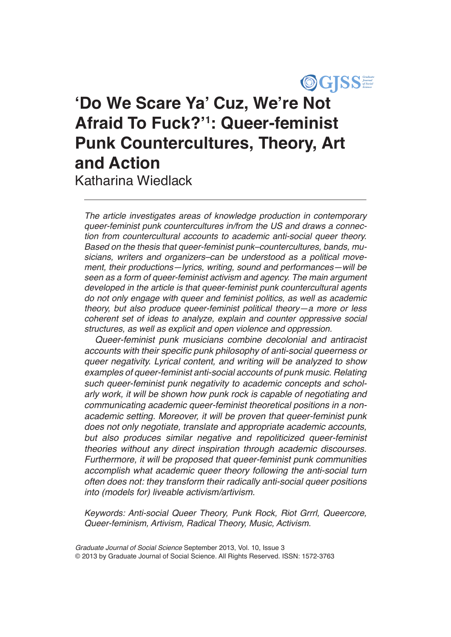

# **'Do We Scare Ya' Cuz, We're Not Afraid To Fuck?'<sup>1</sup> : Queer-feminist Punk Countercultures, Theory, Art and Action**

Katharina Wiedlack

*The article investigates areas of knowledge production in contemporary queer-feminist punk countercultures in/from the US and draws a connection from countercultural accounts to academic anti-social queer theory. Based on the thesis that queer-feminist punk–countercultures, bands, musicians, writers and organizers–can be understood as a political movement, their productions—lyrics, writing, sound and performances—will be seen as a form of queer-feminist activism and agency. The main argument developed in the article is that queer-feminist punk countercultural agents do not only engage with queer and feminist politics, as well as academic theory, but also produce queer-feminist political theory—a more or less coherent set of ideas to analyze, explain and counter oppressive social structures, as well as explicit and open violence and oppression.* 

*Queer-feminist punk musicians combine decolonial and antiracist*  accounts with their specific punk philosophy of anti-social queerness or *queer negativity. Lyrical content, and writing will be analyzed to show examples of queer-feminist anti-social accounts of punk music. Relating such queer-feminist punk negativity to academic concepts and scholarly work, it will be shown how punk rock is capable of negotiating and communicating academic queer-feminist theoretical positions in a nonacademic setting. Moreover, it will be proven that queer-feminist punk does not only negotiate, translate and appropriate academic accounts, but also produces similar negative and repoliticized queer-feminist theories without any direct inspiration through academic discourses. Furthermore, it will be proposed that queer-feminist punk communities accomplish what academic queer theory following the anti-social turn often does not: they transform their radically anti-social queer positions into (models for) liveable activism/artivism.*

*Keywords: Anti-social Queer Theory, Punk Rock, Riot Grrrl, Queercore, Queer-feminism, Artivism, Radical Theory, Music, Activism.*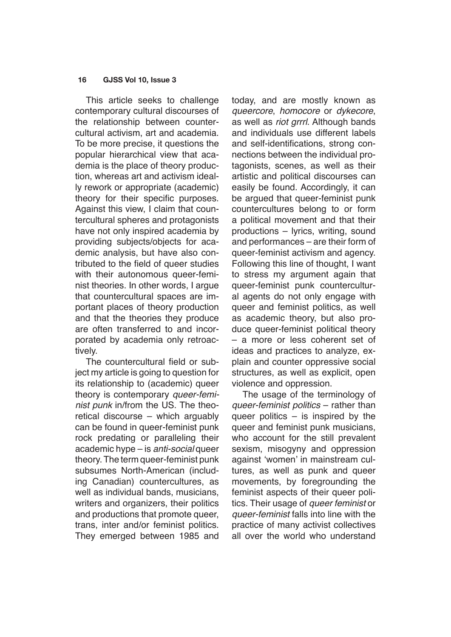This article seeks to challenge contemporary cultural discourses of the relationship between countercultural activism, art and academia. To be more precise, it questions the popular hierarchical view that academia is the place of theory production, whereas art and activism ideally rework or appropriate (academic) theory for their specific purposes. Against this view, I claim that countercultural spheres and protagonists have not only inspired academia by providing subjects/objects for academic analysis, but have also contributed to the field of queer studies with their autonomous queer-feminist theories. In other words, I argue that countercultural spaces are important places of theory production and that the theories they produce are often transferred to and incorporated by academia only retroactively.

The countercultural field or subject my article is going to question for its relationship to (academic) queer theory is contemporary *queer-feminist punk* in/from the US. The theoretical discourse – which arguably can be found in queer-feminist punk rock predating or paralleling their academic hype – is *anti-social* queer theory. The term queer-feminist punk subsumes North-American (including Canadian) countercultures, as well as individual bands, musicians, writers and organizers, their politics and productions that promote queer, trans, inter and/or feminist politics. They emerged between 1985 and today, and are mostly known as *queercore*, *homocore* or *dykecore*, as well as *riot grrrl*. Although bands and individuals use different labels and self-identifications, strong connections between the individual protagonists, scenes, as well as their artistic and political discourses can easily be found. Accordingly, it can be argued that queer-feminist punk countercultures belong to or form a political movement and that their productions – lyrics, writing, sound and performances – are their form of queer-feminist activism and agency. Following this line of thought, I want to stress my argument again that queer-feminist punk countercultural agents do not only engage with queer and feminist politics, as well as academic theory, but also produce queer-feminist political theory – a more or less coherent set of ideas and practices to analyze, explain and counter oppressive social structures, as well as explicit, open violence and oppression.

The usage of the terminology of *queer-feminist politics* – rather than queer politics – is inspired by the queer and feminist punk musicians, who account for the still prevalent sexism, misogyny and oppression against 'women' in mainstream cultures, as well as punk and queer movements, by foregrounding the feminist aspects of their queer politics. Their usage of *queer feminist* or *queer-feminist* falls into line with the practice of many activist collectives all over the world who understand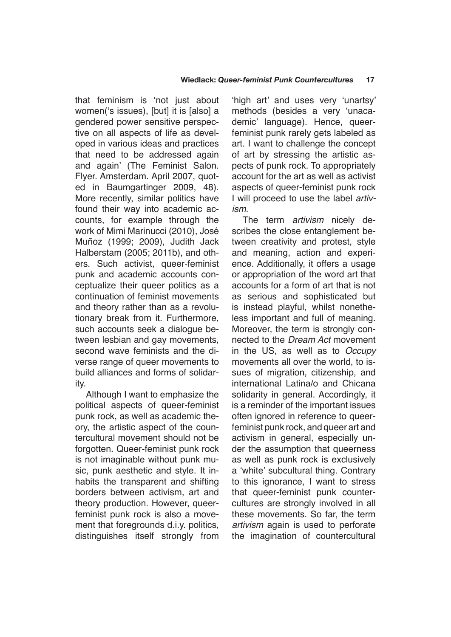that feminism is 'not just about women('s issues), [but] it is [also] a gendered power sensitive perspective on all aspects of life as developed in various ideas and practices that need to be addressed again and again' (The Feminist Salon. Flyer. Amsterdam. April 2007, quoted in Baumgartinger 2009, 48). More recently, similar politics have found their way into academic accounts, for example through the work of Mimi Marinucci (2010), José Muñoz (1999; 2009), Judith Jack Halberstam (2005; 2011b), and others. Such activist, queer-feminist punk and academic accounts conceptualize their queer politics as a continuation of feminist movements and theory rather than as a revolutionary break from it. Furthermore, such accounts seek a dialogue between lesbian and gay movements, second wave feminists and the diverse range of queer movements to build alliances and forms of solidarity.

Although I want to emphasize the political aspects of queer-feminist punk rock, as well as academic theory, the artistic aspect of the countercultural movement should not be forgotten. Queer-feminist punk rock is not imaginable without punk music, punk aesthetic and style. It inhabits the transparent and shifting borders between activism, art and theory production. However, queerfeminist punk rock is also a movement that foregrounds d.i.y. politics, distinguishes itself strongly from

'high art' and uses very 'unartsy' methods (besides a very 'unacademic' language). Hence, queerfeminist punk rarely gets labeled as art. I want to challenge the concept of art by stressing the artistic aspects of punk rock. To appropriately account for the art as well as activist aspects of queer-feminist punk rock I will proceed to use the label *artivism*.

The term *artivism* nicely describes the close entanglement between creativity and protest, style and meaning, action and experience. Additionally, it offers a usage or appropriation of the word art that accounts for a form of art that is not as serious and sophisticated but is instead playful, whilst nonetheless important and full of meaning. Moreover, the term is strongly connected to the *Dream Act* movement in the US, as well as to *Occupy*  movements all over the world, to issues of migration, citizenship, and international Latina/o and Chicana solidarity in general. Accordingly, it is a reminder of the important issues often ignored in reference to queerfeminist punk rock, and queer art and activism in general, especially under the assumption that queerness as well as punk rock is exclusively a 'white' subcultural thing. Contrary to this ignorance, I want to stress that queer-feminist punk countercultures are strongly involved in all these movements. So far, the term *artivism* again is used to perforate the imagination of countercultural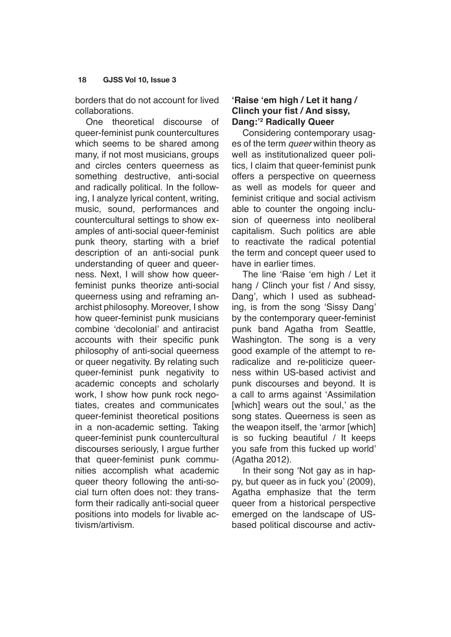borders that do not account for lived collaborations.

One theoretical discourse of queer-feminist punk countercultures which seems to be shared among many, if not most musicians, groups and circles centers queerness as something destructive, anti-social and radically political. In the following, I analyze lyrical content, writing, music, sound, performances and countercultural settings to show examples of anti-social queer-feminist punk theory, starting with a brief description of an anti-social punk understanding of queer and queerness. Next, I will show how queerfeminist punks theorize anti-social queerness using and reframing anarchist philosophy. Moreover, I show how queer-feminist punk musicians combine 'decolonial' and antiracist accounts with their specific punk philosophy of anti-social queerness or queer negativity. By relating such queer-feminist punk negativity to academic concepts and scholarly work, I show how punk rock negotiates, creates and communicates queer-feminist theoretical positions in a non-academic setting. Taking queer-feminist punk countercultural discourses seriously, I argue further that queer-feminist punk communities accomplish what academic queer theory following the anti-social turn often does not: they transform their radically anti-social queer positions into models for livable activism/artivism.

# **'Raise 'em high / Let it hang / Clinch your fist / And sissy, Dang:'<sup>2</sup> Radically Queer**

Considering contemporary usages of the term *queer* within theory as well as institutionalized queer politics, I claim that queer-feminist punk offers a perspective on queerness as well as models for queer and feminist critique and social activism able to counter the ongoing inclusion of queerness into neoliberal capitalism. Such politics are able to reactivate the radical potential the term and concept queer used to have in earlier times.

The line 'Raise 'em high / Let it hang / Clinch your fist / And sissy, Dang', which I used as subheading, is from the song 'Sissy Dang' by the contemporary queer-feminist punk band Agatha from Seattle, Washington. The song is a very good example of the attempt to reradicalize and re-politicize queerness within US-based activist and punk discourses and beyond. It is a call to arms against 'Assimilation [which] wears out the soul,' as the song states. Queerness is seen as the weapon itself, the 'armor [which] is so fucking beautiful / It keeps you safe from this fucked up world' (Agatha 2012).

In their song 'Not gay as in happy, but queer as in fuck you' (2009), Agatha emphasize that the term queer from a historical perspective emerged on the landscape of USbased political discourse and activ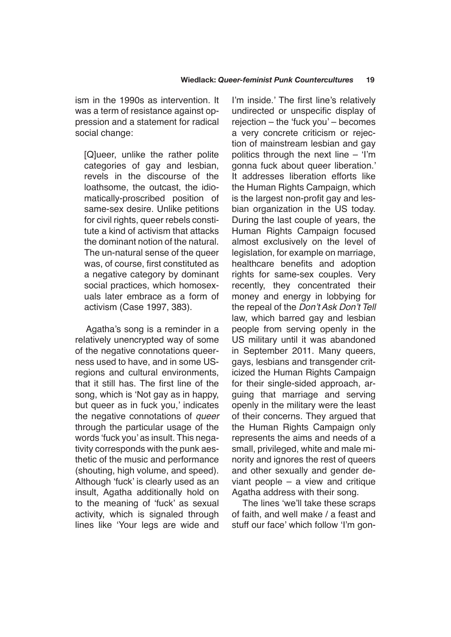ism in the 1990s as intervention. It was a term of resistance against oppression and a statement for radical social change:

[Q]ueer, unlike the rather polite categories of gay and lesbian, revels in the discourse of the loathsome, the outcast, the idiomatically-proscribed position of same-sex desire. Unlike petitions for civil rights, queer rebels constitute a kind of activism that attacks the dominant notion of the natural. The un-natural sense of the queer was, of course, first constituted as a negative category by dominant social practices, which homosexuals later embrace as a form of activism (Case 1997, 383).

Agatha's song is a reminder in a relatively unencrypted way of some of the negative connotations queerness used to have, and in some USregions and cultural environments, that it still has. The first line of the song, which is 'Not gay as in happy, but queer as in fuck you,' indicates the negative connotations of *queer* through the particular usage of the words 'fuck you' as insult. This negativity corresponds with the punk aesthetic of the music and performance (shouting, high volume, and speed). Although 'fuck' is clearly used as an insult, Agatha additionally hold on to the meaning of 'fuck' as sexual activity, which is signaled through lines like 'Your legs are wide and

I'm inside.' The first line's relatively undirected or unspecific display of rejection – the 'fuck you' – becomes a very concrete criticism or rejection of mainstream lesbian and gay politics through the next line – 'I'm gonna fuck about queer liberation.' It addresses liberation efforts like the Human Rights Campaign, which is the largest non-profit gay and lesbian organization in the US today. During the last couple of years, the Human Rights Campaign focused almost exclusively on the level of legislation, for example on marriage, healthcare benefits and adoption rights for same-sex couples. Very recently, they concentrated their money and energy in lobbying for the repeal of the Don't Ask Don't Tell law, which barred gay and lesbian people from serving openly in the US military until it was abandoned in September 2011. Many queers, gays, lesbians and transgender criticized the Human Rights Campaign for their single-sided approach, arguing that marriage and serving openly in the military were the least of their concerns. They argued that the Human Rights Campaign only represents the aims and needs of a small, privileged, white and male minority and ignores the rest of queers and other sexually and gender deviant people – a view and critique Agatha address with their song.

The lines 'we'll take these scraps of faith, and well make / a feast and stuff our face' which follow 'I'm gon-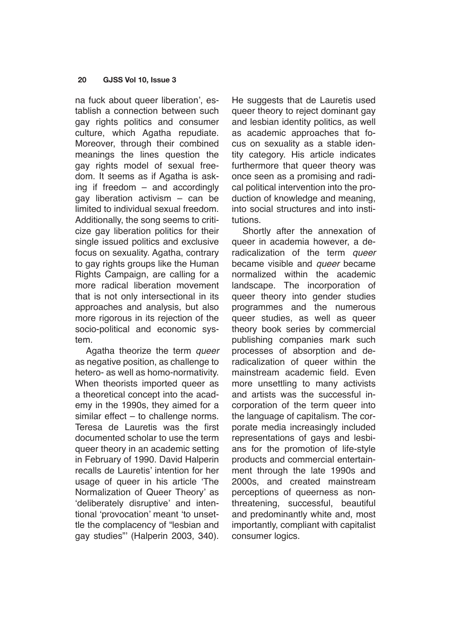na fuck about queer liberation', establish a connection between such gay rights politics and consumer culture, which Agatha repudiate. Moreover, through their combined meanings the lines question the gay rights model of sexual freedom. It seems as if Agatha is asking if freedom – and accordingly gay liberation activism – can be limited to individual sexual freedom. Additionally, the song seems to criticize gay liberation politics for their single issued politics and exclusive focus on sexuality. Agatha, contrary to gay rights groups like the Human Rights Campaign, are calling for a more radical liberation movement that is not only intersectional in its approaches and analysis, but also more rigorous in its rejection of the socio-political and economic system.

Agatha theorize the term *queer* as negative position, as challenge to hetero- as well as homo-normativity. When theorists imported queer as a theoretical concept into the academy in the 1990s, they aimed for a similar effect – to challenge norms. Teresa de Lauretis was the first documented scholar to use the term queer theory in an academic setting in February of 1990. David Halperin recalls de Lauretis' intention for her usage of queer in his article 'The Normalization of Queer Theory' as 'deliberately disruptive' and intentional 'provocation' meant 'to unsettle the complacency of "lesbian and gay studies"' (Halperin 2003, 340). He suggests that de Lauretis used queer theory to reject dominant gay and lesbian identity politics, as well as academic approaches that focus on sexuality as a stable identity category. His article indicates furthermore that queer theory was once seen as a promising and radical political intervention into the production of knowledge and meaning, into social structures and into institutions.

Shortly after the annexation of queer in academia however, a deradicalization of the term *queer* became visible and *queer* became normalized within the academic landscape. The incorporation of queer theory into gender studies programmes and the numerous queer studies, as well as queer theory book series by commercial publishing companies mark such processes of absorption and deradicalization of queer within the mainstream academic field. Even more unsettling to many activists and artists was the successful incorporation of the term queer into the language of capitalism. The corporate media increasingly included representations of gays and lesbians for the promotion of life-style products and commercial entertainment through the late 1990s and 2000s, and created mainstream perceptions of queerness as nonthreatening, successful, beautiful and predominantly white and, most importantly, compliant with capitalist consumer logics.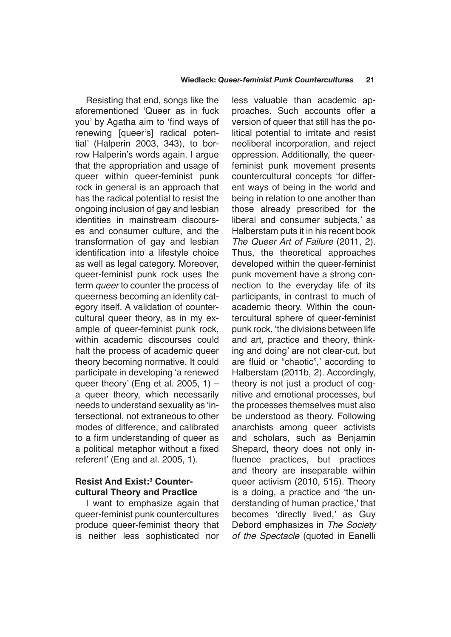Resisting that end, songs like the aforementioned 'Queer as in fuck you' by Agatha aim to 'find ways of renewing [queer's] radical potential' (Halperin 2003, 343), to borrow Halperin's words again. I argue that the appropriation and usage of queer within queer-feminist punk rock in general is an approach that has the radical potential to resist the ongoing inclusion of gay and lesbian identities in mainstream discourses and consumer culture, and the transformation of gay and lesbian identification into a lifestyle choice as well as legal category. Moreover, queer-feminist punk rock uses the term *queer* to counter the process of queerness becoming an identity category itself. A validation of countercultural queer theory, as in my example of queer-feminist punk rock, within academic discourses could halt the process of academic queer theory becoming normative. It could participate in developing 'a renewed queer theory' (Eng et al. 2005, 1)  $$ a queer theory, which necessarily needs to understand sexuality as 'intersectional, not extraneous to other modes of difference, and calibrated to a firm understanding of queer as a political metaphor without a fixed referent' (Eng and al. 2005, 1).

## **Resist And Exist:<sup>3</sup> Countercultural Theory and Practice**

I want to emphasize again that queer-feminist punk countercultures produce queer-feminist theory that is neither less sophisticated nor less valuable than academic approaches. Such accounts offer a version of queer that still has the political potential to irritate and resist neoliberal incorporation, and reject oppression. Additionally, the queerfeminist punk movement presents countercultural concepts 'for different ways of being in the world and being in relation to one another than those already prescribed for the liberal and consumer subjects,' as Halberstam puts it in his recent book *The Queer Art of Failure* (2011, 2). Thus, the theoretical approaches developed within the queer-feminist punk movement have a strong connection to the everyday life of its participants, in contrast to much of academic theory. Within the countercultural sphere of queer-feminist punk rock, 'the divisions between life and art, practice and theory, thinking and doing' are not clear-cut, but are fluid or "chaotic",' according to Halberstam (2011b, 2). Accordingly, theory is not just a product of cognitive and emotional processes, but the processes themselves must also be understood as theory. Following anarchists among queer activists and scholars, such as Benjamin Shepard, theory does not only influence practices, but practices and theory are inseparable within queer activism (2010, 515). Theory is a doing, a practice and 'the understanding of human practice,' that becomes 'directly lived,' as Guy Debord emphasizes in *The Society of the Spectacle* (quoted in Eanelli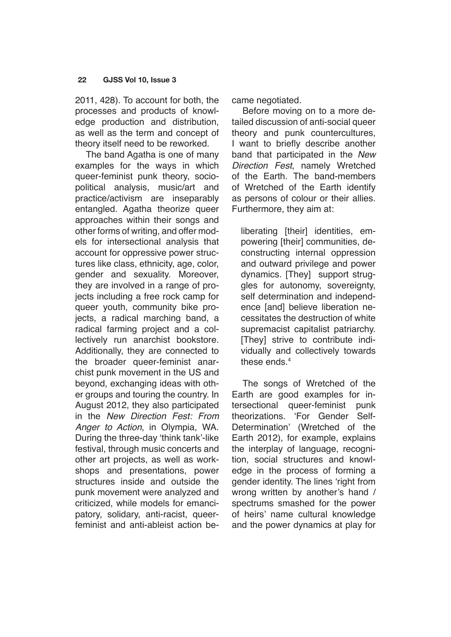2011, 428). To account for both, the processes and products of knowledge production and distribution, as well as the term and concept of theory itself need to be reworked.

The band Agatha is one of many examples for the ways in which queer-feminist punk theory, sociopolitical analysis, music/art and practice/activism are inseparably entangled. Agatha theorize queer approaches within their songs and other forms of writing, and offer models for intersectional analysis that account for oppressive power structures like class, ethnicity, age, color, gender and sexuality. Moreover, they are involved in a range of projects including a free rock camp for queer youth, community bike projects, a radical marching band, a radical farming project and a collectively run anarchist bookstore. Additionally, they are connected to the broader queer-feminist anarchist punk movement in the US and beyond, exchanging ideas with other groups and touring the country. In August 2012, they also participated in the *New Direction Fest: From Anger to Action*, in Olympia, WA. During the three-day 'think tank'-like festival, through music concerts and other art projects, as well as workshops and presentations, power structures inside and outside the punk movement were analyzed and criticized, while models for emancipatory, solidary, anti-racist, queerfeminist and anti-ableist action became negotiated.

Before moving on to a more detailed discussion of anti-social queer theory and punk countercultures, I want to briefly describe another band that participated in the *New Direction Fest*, namely Wretched of the Earth. The band-members of Wretched of the Earth identify as persons of colour or their allies. Furthermore, they aim at:

liberating [their] identities, empowering [their] communities, deconstructing internal oppression and outward privilege and power dynamics. [They] support struggles for autonomy, sovereignty, self determination and independence [and] believe liberation necessitates the destruction of white supremacist capitalist patriarchy. [They] strive to contribute individually and collectively towards these ends<sup>4</sup>

The songs of Wretched of the Earth are good examples for intersectional queer-feminist punk theorizations. 'For Gender Self-Determination' (Wretched of the Earth 2012), for example, explains the interplay of language, recognition, social structures and knowledge in the process of forming a gender identity. The lines 'right from wrong written by another's hand / spectrums smashed for the power of heirs' name cultural knowledge and the power dynamics at play for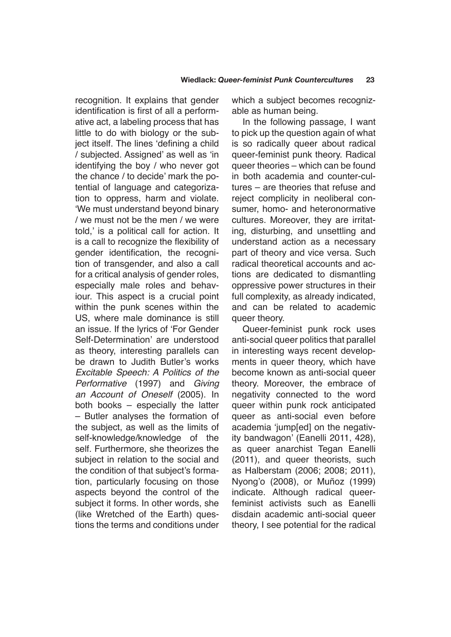recognition. It explains that gender identification is first of all a performative act, a labeling process that has little to do with biology or the subject itself. The lines 'defining a child / subjected. Assigned' as well as 'in identifying the boy / who never got the chance / to decide' mark the potential of language and categorization to oppress, harm and violate. 'We must understand beyond binary / we must not be the men / we were told,' is a political call for action. It is a call to recognize the flexibility of gender identification, the recognition of transgender, and also a call for a critical analysis of gender roles, especially male roles and behaviour. This aspect is a crucial point within the punk scenes within the US, where male dominance is still an issue. If the lyrics of 'For Gender Self-Determination' are understood as theory, interesting parallels can be drawn to Judith Butler's works *Excitable Speech: A Politics of the Performative* (1997) and *Giving an Account of Oneself* (2005). In both books – especially the latter – Butler analyses the formation of the subject, as well as the limits of self-knowledge/knowledge of the self. Furthermore, she theorizes the subject in relation to the social and the condition of that subject's formation, particularly focusing on those aspects beyond the control of the subject it forms. In other words, she (like Wretched of the Earth) questions the terms and conditions under

which a subject becomes recognizable as human being.

In the following passage, I want to pick up the question again of what is so radically queer about radical queer-feminist punk theory. Radical queer theories – which can be found in both academia and counter-cultures – are theories that refuse and reject complicity in neoliberal consumer, homo- and heteronormative cultures. Moreover, they are irritating, disturbing, and unsettling and understand action as a necessary part of theory and vice versa. Such radical theoretical accounts and actions are dedicated to dismantling oppressive power structures in their full complexity, as already indicated, and can be related to academic queer theory.

Queer-feminist punk rock uses anti-social queer politics that parallel in interesting ways recent developments in queer theory, which have become known as anti-social queer theory. Moreover, the embrace of negativity connected to the word queer within punk rock anticipated queer as anti-social even before academia 'jump[ed] on the negativity bandwagon' (Eanelli 2011, 428), as queer anarchist Tegan Eanelli (2011), and queer theorists, such as Halberstam (2006; 2008; 2011), Nyong'o (2008), or Muñoz (1999) indicate. Although radical queerfeminist activists such as Eanelli disdain academic anti-social queer theory, I see potential for the radical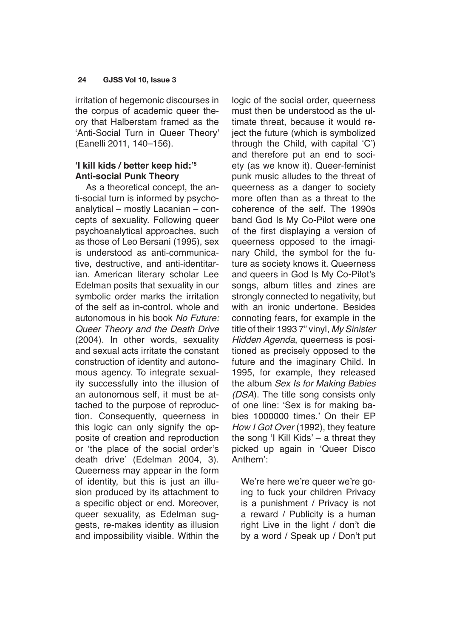irritation of hegemonic discourses in the corpus of academic queer theory that Halberstam framed as the 'Anti-Social Turn in Queer Theory' (Eanelli 2011, 140–156).

## **'I kill kids / better keep hid:'<sup>5</sup> Anti-social Punk Theory**

As a theoretical concept, the anti-social turn is informed by psychoanalytical – mostly Lacanian – concepts of sexuality. Following queer psychoanalytical approaches, such as those of Leo Bersani (1995), sex is understood as anti-communicative, destructive, and anti-identitarian. American literary scholar Lee Edelman posits that sexuality in our symbolic order marks the irritation of the self as in-control, whole and autonomous in his book *No Future: Queer Theory and the Death Drive*  (2004). In other words, sexuality and sexual acts irritate the constant construction of identity and autonomous agency. To integrate sexuality successfully into the illusion of an autonomous self, it must be attached to the purpose of reproduction. Consequently, queerness in this logic can only signify the opposite of creation and reproduction or 'the place of the social order's death drive' (Edelman 2004, 3). Queerness may appear in the form of identity, but this is just an illusion produced by its attachment to a specific object or end. Moreover, queer sexuality, as Edelman suggests, re-makes identity as illusion and impossibility visible. Within the logic of the social order, queerness must then be understood as the ultimate threat, because it would reject the future (which is symbolized through the Child, with capital 'C') and therefore put an end to society (as we know it). Queer-feminist punk music alludes to the threat of queerness as a danger to society more often than as a threat to the coherence of the self. The 1990s band God Is My Co-Pilot were one of the first displaying a version of queerness opposed to the imaginary Child, the symbol for the future as society knows it. Queerness and queers in God Is My Co-Pilot's songs, album titles and zines are strongly connected to negativity, but with an ironic undertone. Besides connoting fears, for example in the title of their 1993 7" vinyl, *My Sinister Hidden Agenda*, queerness is positioned as precisely opposed to the future and the imaginary Child. In 1995, for example, they released the album *Sex Is for Making Babies (DSA*). The title song consists only of one line: 'Sex is for making babies 1000000 times.' On their EP *How I Got Over* (1992), they feature the song 'I Kill Kids' – a threat they picked up again in 'Queer Disco Anthem':

We're here we're queer we're going to fuck your children Privacy is a punishment / Privacy is not a reward / Publicity is a human right Live in the light / don't die by a word / Speak up / Don't put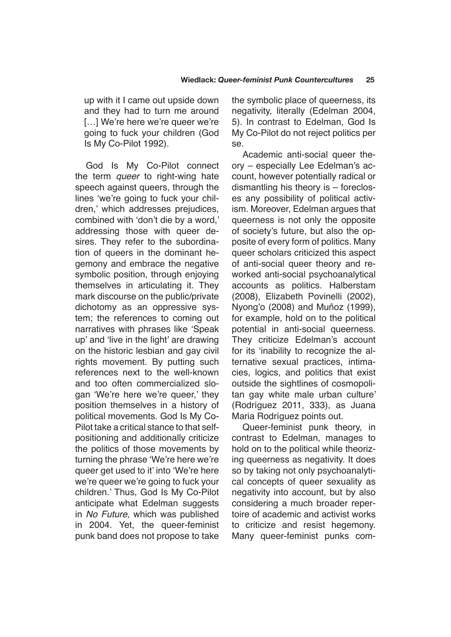up with it I came out upside down and they had to turn me around [...] We're here we're queer we're going to fuck your children (God Is My Co-Pilot 1992).

God Is My Co-Pilot connect the term *queer* to right-wing hate speech against queers, through the lines 'we're going to fuck your children,' which addresses prejudices, combined with 'don't die by a word,' addressing those with queer desires. They refer to the subordination of queers in the dominant hegemony and embrace the negative symbolic position, through enjoying themselves in articulating it. They mark discourse on the public/private dichotomy as an oppressive system; the references to coming out narratives with phrases like 'Speak up' and 'live in the light' are drawing on the historic lesbian and gay civil rights movement. By putting such references next to the well-known and too often commercialized slogan 'We're here we're queer,' they position themselves in a history of political movements. God Is My Co-Pilot take a critical stance to that selfpositioning and additionally criticize the politics of those movements by turning the phrase 'We're here we're queer get used to it' into 'We're here we're queer we're going to fuck your children.' Thus, God Is My Co-Pilot anticipate what Edelman suggests in *No Future*, which was published in 2004. Yet, the queer-feminist punk band does not propose to take the symbolic place of queerness, its negativity, literally (Edelman 2004, 5). In contrast to Edelman, God Is My Co-Pilot do not reject politics per se.

Academic anti-social queer theory – especially Lee Edelman's account, however potentially radical or dismantling his theory is – forecloses any possibility of political activism. Moreover, Edelman argues that queerness is not only the opposite of society's future, but also the opposite of every form of politics. Many queer scholars criticized this aspect of anti-social queer theory and reworked anti-social psychoanalytical accounts as politics. Halberstam (2008), Elizabeth Povinelli (2002), Nyong'o (2008) and Muñoz (1999), for example, hold on to the political potential in anti-social queerness. They criticize Edelman's account for its 'inability to recognize the alternative sexual practices, intimacies, logics, and politics that exist outside the sightlines of cosmopolitan gay white male urban culture' (Rodríguez 2011, 333), as Juana Maria Rodríguez points out.

Queer-feminist punk theory, in contrast to Edelman, manages to hold on to the political while theorizing queerness as negativity. It does so by taking not only psychoanalytical concepts of queer sexuality as negativity into account, but by also considering a much broader repertoire of academic and activist works to criticize and resist hegemony. Many queer-feminist punks com-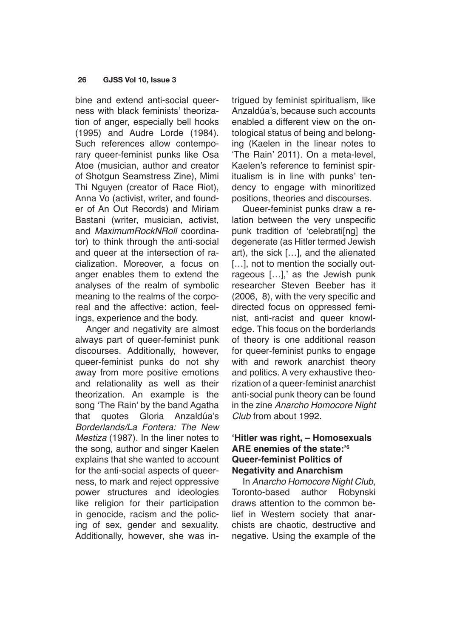bine and extend anti-social queerness with black feminists' theorization of anger, especially bell hooks (1995) and Audre Lorde (1984). Such references allow contemporary queer-feminist punks like Osa Atoe (musician, author and creator of Shotgun Seamstress Zine), Mimi Thi Nguyen (creator of Race Riot), Anna Vo (activist, writer, and founder of An Out Records) and Miriam Bastani (writer, musician, activist, and *MaximumRockNRoll* coordinator) to think through the anti-social and queer at the intersection of racialization. Moreover, a focus on anger enables them to extend the analyses of the realm of symbolic meaning to the realms of the corporeal and the affective: action, feelings, experience and the body.

Anger and negativity are almost always part of queer-feminist punk discourses. Additionally, however, queer-feminist punks do not shy away from more positive emotions and relationality as well as their theorization. An example is the song 'The Rain' by the band Agatha that quotes Gloria Anzaldúa's *Borderlands/La Fontera: The New Mestiza* (1987). In the liner notes to the song, author and singer Kaelen explains that she wanted to account for the anti-social aspects of queerness, to mark and reject oppressive power structures and ideologies like religion for their participation in genocide, racism and the policing of sex, gender and sexuality. Additionally, however, she was intrigued by feminist spiritualism, like Anzaldúa's, because such accounts enabled a different view on the ontological status of being and belonging (Kaelen in the linear notes to 'The Rain' 2011). On a meta-level, Kaelen's reference to feminist spiritualism is in line with punks' tendency to engage with minoritized positions, theories and discourses.

Queer-feminist punks draw a relation between the very unspecific punk tradition of 'celebrati[ng] the degenerate (as Hitler termed Jewish art), the sick […], and the alienated [...], not to mention the socially outrageous […],' as the Jewish punk researcher Steven Beeber has it (2006, 8), with the very specific and directed focus on oppressed feminist, anti-racist and queer knowledge. This focus on the borderlands of theory is one additional reason for queer-feminist punks to engage with and rework anarchist theory and politics. A very exhaustive theorization of a queer-feminist anarchist anti-social punk theory can be found in the zine *Anarcho Homocore Night Club* from about 1992.

# **'Hitler was right, – Homosexuals ARE enemies of the state:'<sup>6</sup> Queer-feminist Politics of Negativity and Anarchism**

In *Anarcho Homocore Night Club*, Toronto-based author Robynski draws attention to the common belief in Western society that anarchists are chaotic, destructive and negative. Using the example of the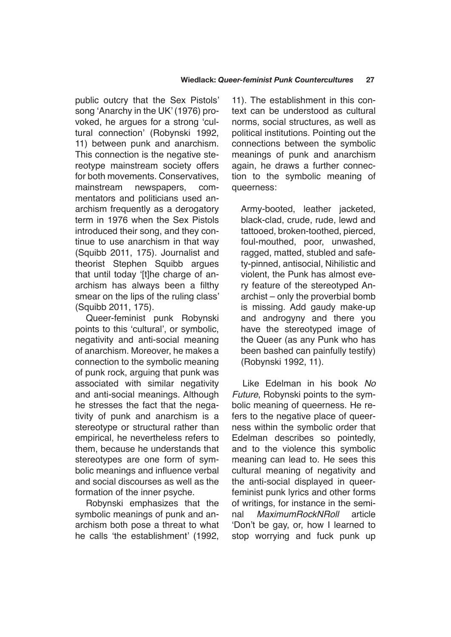public outcry that the Sex Pistols' song 'Anarchy in the UK' (1976) provoked, he argues for a strong 'cultural connection' (Robynski 1992, 11) between punk and anarchism. This connection is the negative stereotype mainstream society offers for both movements. Conservatives, mainstream newspapers, commentators and politicians used anarchism frequently as a derogatory term in 1976 when the Sex Pistols introduced their song, and they continue to use anarchism in that way (Squibb 2011, 175). Journalist and theorist Stephen Squibb argues that until today '[t]he charge of anarchism has always been a filthy smear on the lips of the ruling class' (Squibb 2011, 175).

Queer-feminist punk Robynski points to this 'cultural', or symbolic, negativity and anti-social meaning of anarchism. Moreover, he makes a connection to the symbolic meaning of punk rock, arguing that punk was associated with similar negativity and anti-social meanings. Although he stresses the fact that the negativity of punk and anarchism is a stereotype or structural rather than empirical, he nevertheless refers to them, because he understands that stereotypes are one form of symbolic meanings and influence verbal and social discourses as well as the formation of the inner psyche.

Robynski emphasizes that the symbolic meanings of punk and anarchism both pose a threat to what he calls 'the establishment' (1992,

11). The establishment in this context can be understood as cultural norms, social structures, as well as political institutions. Pointing out the connections between the symbolic meanings of punk and anarchism again, he draws a further connection to the symbolic meaning of queerness:

Army-booted, leather jacketed, black-clad, crude, rude, lewd and tattooed, broken-toothed, pierced, foul-mouthed, poor, unwashed, ragged, matted, stubled and safety-pinned, antisocial, Nihilistic and violent, the Punk has almost every feature of the stereotyped Anarchist – only the proverbial bomb is missing. Add gaudy make-up and androgyny and there you have the stereotyped image of the Queer (as any Punk who has been bashed can painfully testify) (Robynski 1992, 11).

Like Edelman in his book *No Future*, Robynski points to the symbolic meaning of queerness. He refers to the negative place of queerness within the symbolic order that Edelman describes so pointedly, and to the violence this symbolic meaning can lead to. He sees this cultural meaning of negativity and the anti-social displayed in queerfeminist punk lyrics and other forms of writings, for instance in the seminal *MaximumRockNRoll* article 'Don't be gay, or, how I learned to stop worrying and fuck punk up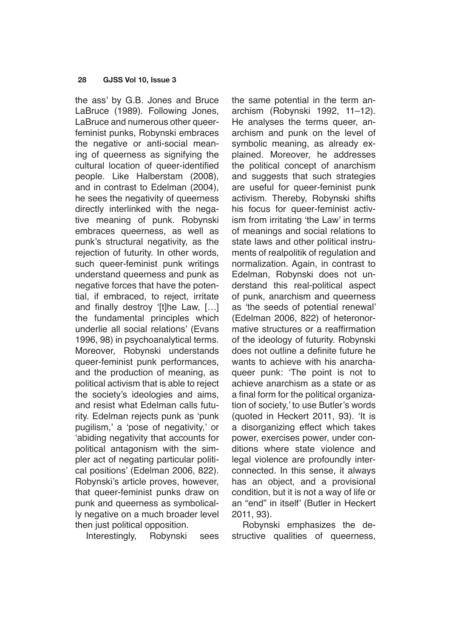the ass' by G.B. Jones and Bruce LaBruce (1989). Following Jones, LaBruce and numerous other queerfeminist punks, Robynski embraces the negative or anti-social meaning of queerness as signifying the cultural location of queer-identified people. Like Halberstam (2008), and in contrast to Edelman (2004), he sees the negativity of queerness directly interlinked with the negative meaning of punk. Robynski embraces queerness, as well as punk's structural negativity, as the rejection of futurity. In other words, such queer-feminist punk writings understand queerness and punk as negative forces that have the potential, if embraced, to reject, irritate and finally destroy '[t]he Law, […] the fundamental principles which underlie all social relations' (Evans 1996, 98) in psychoanalytical terms. Moreover, Robynski understands queer-feminist punk performances, and the production of meaning, as political activism that is able to reject the society's ideologies and aims, and resist what Edelman calls futurity. Edelman rejects punk as 'punk pugilism,' a 'pose of negativity,' or 'abiding negativity that accounts for political antagonism with the simpler act of negating particular political positions' (Edelman 2006, 822). Robynski's article proves, however, that queer-feminist punks draw on punk and queerness as symbolically negative on a much broader level then just political opposition.

Interestingly, Robynski sees

the same potential in the term anarchism (Robynski 1992, 11–12). He analyses the terms queer, anarchism and punk on the level of symbolic meaning, as already explained. Moreover, he addresses the political concept of anarchism and suggests that such strategies are useful for queer-feminist punk activism. Thereby, Robynski shifts his focus for queer-feminist activism from irritating 'the Law' in terms of meanings and social relations to state laws and other political instruments of realpolitik of regulation and normalization. Again, in contrast to Edelman, Robynski does not understand this real-political aspect of punk, anarchism and queerness as 'the seeds of potential renewal' (Edelman 2006, 822) of heteronormative structures or a reaffirmation of the ideology of futurity. Robynski does not outline a definite future he wants to achieve with his anarchaqueer punk: 'The point is not to achieve anarchism as a state or as a final form for the political organization of society,' to use Butler's words (quoted in Heckert 2011, 93). 'It is a disorganizing effect which takes power, exercises power, under conditions where state violence and legal violence are profoundly interconnected. In this sense, it always has an object, and a provisional condition, but it is not a way of life or an "end" in itself' (Butler in Heckert 2011, 93).

Robynski emphasizes the destructive qualities of queerness,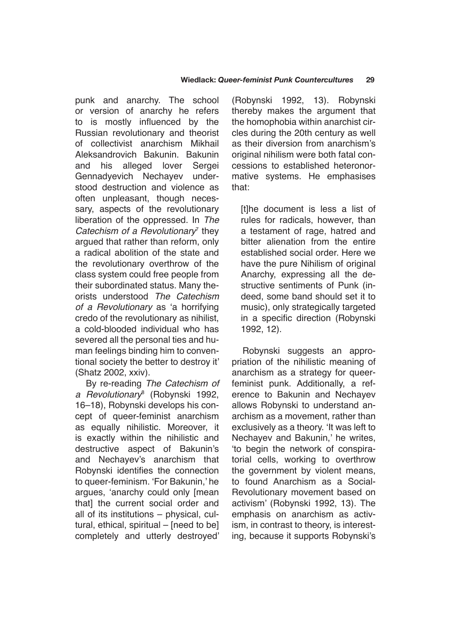punk and anarchy. The school or version of anarchy he refers to is mostly influenced by the Russian revolutionary and theorist of collectivist anarchism Mikhail Aleksandrovich Bakunin. Bakunin and his alleged lover Sergei Gennadyevich Nechayev understood destruction and violence as often unpleasant, though necessary, aspects of the revolutionary liberation of the oppressed. In *The Catechism of a Revolutionary*<sup>7</sup> they argued that rather than reform, only a radical abolition of the state and the revolutionary overthrow of the class system could free people from their subordinated status. Many theorists understood *The Catechism of a Revolutionary* as 'a horrifying credo of the revolutionary as nihilist, a cold-blooded individual who has severed all the personal ties and human feelings binding him to conventional society the better to destroy it' (Shatz 2002, xxiv).

By re-reading *The Catechism of a Revolutionary*<sup>8</sup> (Robynski 1992, 16–18), Robynski develops his concept of queer-feminist anarchism as equally nihilistic. Moreover, it is exactly within the nihilistic and destructive aspect of Bakunin's and Nechayev's anarchism that Robynski identifies the connection to queer-feminism. 'For Bakunin,' he argues, 'anarchy could only [mean that] the current social order and all of its institutions – physical, cultural, ethical, spiritual – [need to be] completely and utterly destroyed'

(Robynski 1992, 13). Robynski thereby makes the argument that the homophobia within anarchist circles during the 20th century as well as their diversion from anarchism's original nihilism were both fatal concessions to established heteronormative systems. He emphasises that:

[t]he document is less a list of rules for radicals, however, than a testament of rage, hatred and bitter alienation from the entire established social order. Here we have the pure Nihilism of original Anarchy, expressing all the destructive sentiments of Punk (indeed, some band should set it to music), only strategically targeted in a specific direction (Robynski 1992, 12).

Robynski suggests an appropriation of the nihilistic meaning of anarchism as a strategy for queerfeminist punk. Additionally, a reference to Bakunin and Nechayev allows Robynski to understand anarchism as a movement, rather than exclusively as a theory. 'It was left to Nechayev and Bakunin,' he writes, 'to begin the network of conspiratorial cells, working to overthrow the government by violent means, to found Anarchism as a Social-Revolutionary movement based on activism' (Robynski 1992, 13). The emphasis on anarchism as activism, in contrast to theory, is interesting, because it supports Robynski's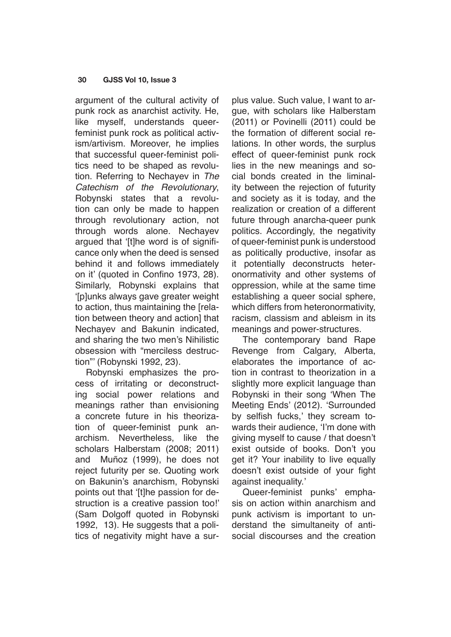argument of the cultural activity of punk rock as anarchist activity. He, like myself, understands queerfeminist punk rock as political activism/artivism. Moreover, he implies that successful queer-feminist politics need to be shaped as revolution. Referring to Nechayev in *The Catechism of the Revolutionary*, Robynski states that a revolution can only be made to happen through revolutionary action, not through words alone. Nechayev argued that '[t]he word is of significance only when the deed is sensed behind it and follows immediately on it' (quoted in Confino 1973, 28). Similarly, Robynski explains that '[p]unks always gave greater weight to action, thus maintaining the [relation between theory and action] that Nechayev and Bakunin indicated, and sharing the two men's Nihilistic obsession with "merciless destruction"' (Robynski 1992, 23).

Robynski emphasizes the process of irritating or deconstructing social power relations and meanings rather than envisioning a concrete future in his theorization of queer-feminist punk anarchism. Nevertheless, like the scholars Halberstam (2008; 2011) and Muñoz (1999), he does not reject futurity per se. Quoting work on Bakunin's anarchism, Robynski points out that '[t]he passion for destruction is a creative passion too!' (Sam Dolgoff quoted in Robynski 1992, 13). He suggests that a politics of negativity might have a surplus value. Such value, I want to argue, with scholars like Halberstam (2011) or Povinelli (2011) could be the formation of different social relations. In other words, the surplus effect of queer-feminist punk rock lies in the new meanings and social bonds created in the liminality between the rejection of futurity and society as it is today, and the realization or creation of a different future through anarcha-queer punk politics. Accordingly, the negativity of queer-feminist punk is understood as politically productive, insofar as it potentially deconstructs heteronormativity and other systems of oppression, while at the same time establishing a queer social sphere, which differs from heteronormativity, racism, classism and ableism in its meanings and power-structures.

The contemporary band Rape Revenge from Calgary, Alberta, elaborates the importance of action in contrast to theorization in a slightly more explicit language than Robynski in their song 'When The Meeting Ends' (2012). 'Surrounded by selfish fucks,' they scream towards their audience, 'I'm done with giving myself to cause / that doesn't exist outside of books. Don't you get it? Your inability to live equally doesn't exist outside of your fight against inequality.'

Queer-feminist punks' emphasis on action within anarchism and punk activism is important to understand the simultaneity of antisocial discourses and the creation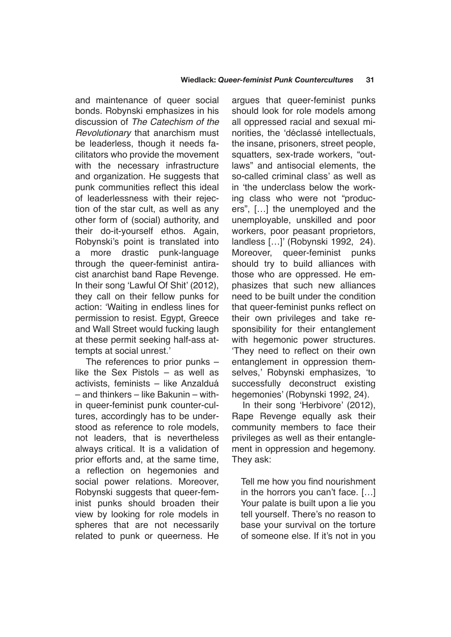and maintenance of queer social bonds. Robynski emphasizes in his discussion of *The Catechism of the Revolutionary* that anarchism must be leaderless, though it needs facilitators who provide the movement with the necessary infrastructure and organization. He suggests that punk communities reflect this ideal of leaderlessness with their rejection of the star cult, as well as any other form of (social) authority, and their do-it-yourself ethos. Again, Robynski's point is translated into a more drastic punk-language through the queer-feminist antiracist anarchist band Rape Revenge. In their song 'Lawful Of Shit' (2012), they call on their fellow punks for action: 'Waiting in endless lines for permission to resist. Egypt, Greece and Wall Street would fucking laugh at these permit seeking half-ass attempts at social unrest.'

The references to prior punks – like the Sex Pistols – as well as activists, feminists – like Anzalduá – and thinkers – like Bakunin – within queer-feminist punk counter-cultures, accordingly has to be understood as reference to role models. not leaders, that is nevertheless always critical. It is a validation of prior efforts and, at the same time, a reflection on hegemonies and social power relations. Moreover, Robynski suggests that queer-feminist punks should broaden their view by looking for role models in spheres that are not necessarily related to punk or queerness. He argues that queer-feminist punks should look for role models among all oppressed racial and sexual minorities, the 'déclassé intellectuals, the insane, prisoners, street people, squatters, sex-trade workers, "outlaws" and antisocial elements, the so-called criminal class' as well as in 'the underclass below the working class who were not "producers", […] the unemployed and the unemployable, unskilled and poor workers, poor peasant proprietors, landless […]' (Robynski 1992, 24). Moreover, queer-feminist punks should try to build alliances with those who are oppressed. He emphasizes that such new alliances need to be built under the condition that queer-feminist punks reflect on their own privileges and take responsibility for their entanglement with hegemonic power structures. 'They need to reflect on their own entanglement in oppression themselves,' Robynski emphasizes, 'to successfully deconstruct existing hegemonies' (Robynski 1992, 24).

In their song 'Herbivore' (2012), Rape Revenge equally ask their community members to face their privileges as well as their entanglement in oppression and hegemony. They ask:

Tell me how you find nourishment in the horrors you can't face. […] Your palate is built upon a lie you tell yourself. There's no reason to base your survival on the torture of someone else. If it's not in you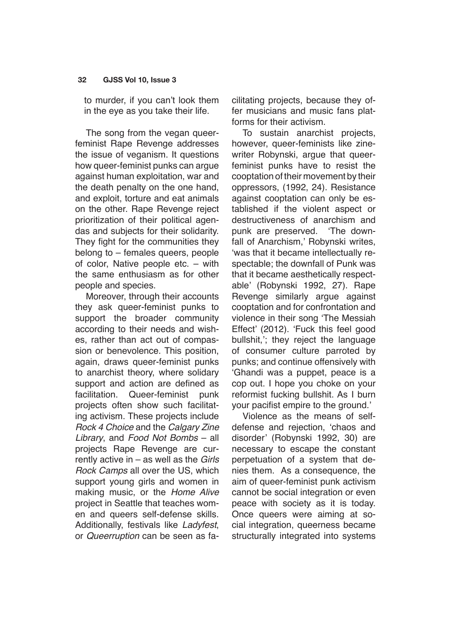to murder, if you can't look them in the eye as you take their life.

The song from the vegan queerfeminist Rape Revenge addresses the issue of veganism. It questions how queer-feminist punks can argue against human exploitation, war and the death penalty on the one hand, and exploit, torture and eat animals on the other. Rape Revenge reject prioritization of their political agendas and subjects for their solidarity. They fight for the communities they belong to – females queers, people of color, Native people etc. – with the same enthusiasm as for other people and species.

Moreover, through their accounts they ask queer-feminist punks to support the broader community according to their needs and wishes, rather than act out of compassion or benevolence. This position, again, draws queer-feminist punks to anarchist theory, where solidary support and action are defined as facilitation. Queer-feminist punk projects often show such facilitating activism. These projects include *Rock 4 Choice* and the *Calgary Zine Library*, and *Food Not Bombs* – all projects Rape Revenge are currently active in – as well as the *Girls Rock Camps* all over the US, which support young girls and women in making music, or the *Home Alive* project in Seattle that teaches women and queers self-defense skills. Additionally, festivals like *Ladyfest*, or *Queerruption* can be seen as facilitating projects, because they offer musicians and music fans platforms for their activism.

To sustain anarchist projects, however, queer-feminists like zinewriter Robynski, argue that queerfeminist punks have to resist the cooptation of their movement by their oppressors, (1992, 24). Resistance against cooptation can only be established if the violent aspect or destructiveness of anarchism and punk are preserved. 'The downfall of Anarchism,' Robynski writes, 'was that it became intellectually respectable; the downfall of Punk was that it became aesthetically respectable' (Robynski 1992, 27). Rape Revenge similarly argue against cooptation and for confrontation and violence in their song 'The Messiah Effect' (2012). 'Fuck this feel good bullshit,'; they reject the language of consumer culture parroted by punks; and continue offensively with 'Ghandi was a puppet, peace is a cop out. I hope you choke on your reformist fucking bullshit. As I burn your pacifist empire to the ground.'

Violence as the means of selfdefense and rejection, 'chaos and disorder' (Robynski 1992, 30) are necessary to escape the constant perpetuation of a system that denies them. As a consequence, the aim of queer-feminist punk activism cannot be social integration or even peace with society as it is today. Once queers were aiming at social integration, queerness became structurally integrated into systems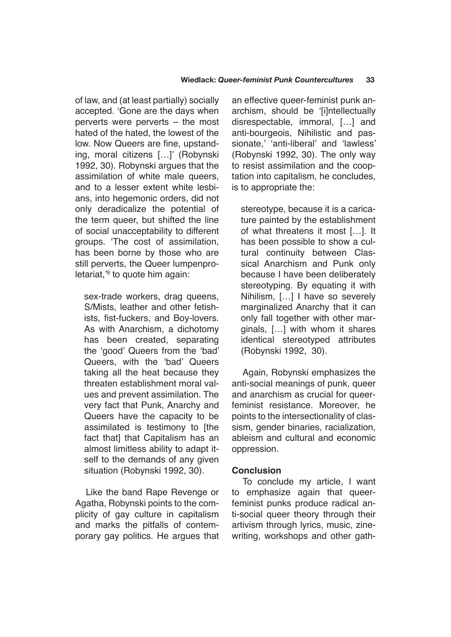of law, and (at least partially) socially accepted. 'Gone are the days when perverts were perverts – the most hated of the hated, the lowest of the low. Now Queers are fine, upstanding, moral citizens […]' (Robynski 1992, 30). Robynski argues that the assimilation of white male queers, and to a lesser extent white lesbians, into hegemonic orders, did not only deradicalize the potential of the term queer, but shifted the line of social unacceptability to different groups. 'The cost of assimilation, has been borne by those who are still perverts, the Queer lumpenproletariat,'<sup>9</sup> to quote him again:

sex-trade workers, drag queens, S/Mists, leather and other fetishists, fist-fuckers, and Boy-lovers. As with Anarchism, a dichotomy has been created, separating the 'good' Queers from the 'bad' Queers, with the 'bad' Queers taking all the heat because they threaten establishment moral values and prevent assimilation. The very fact that Punk, Anarchy and Queers have the capacity to be assimilated is testimony to [the fact that] that Capitalism has an almost limitless ability to adapt itself to the demands of any given situation (Robynski 1992, 30).

Like the band Rape Revenge or Agatha, Robynski points to the complicity of gay culture in capitalism and marks the pitfalls of contemporary gay politics. He argues that an effective queer-feminist punk anarchism, should be '[i]ntellectually disrespectable, immoral, […] and anti-bourgeois, Nihilistic and passionate,' 'anti-liberal' and 'lawless' (Robynski 1992, 30). The only way to resist assimilation and the cooptation into capitalism, he concludes, is to appropriate the:

stereotype, because it is a caricature painted by the establishment of what threatens it most […]. It has been possible to show a cultural continuity between Classical Anarchism and Punk only because I have been deliberately stereotyping. By equating it with Nihilism, […] I have so severely marginalized Anarchy that it can only fall together with other marginals, […] with whom it shares identical stereotyped attributes (Robynski 1992, 30).

Again, Robynski emphasizes the anti-social meanings of punk, queer and anarchism as crucial for queerfeminist resistance. Moreover, he points to the intersectionality of classism, gender binaries, racialization, ableism and cultural and economic oppression.

## **Conclusion**

To conclude my article, I want to emphasize again that queerfeminist punks produce radical anti-social queer theory through their artivism through lyrics, music, zinewriting, workshops and other gath-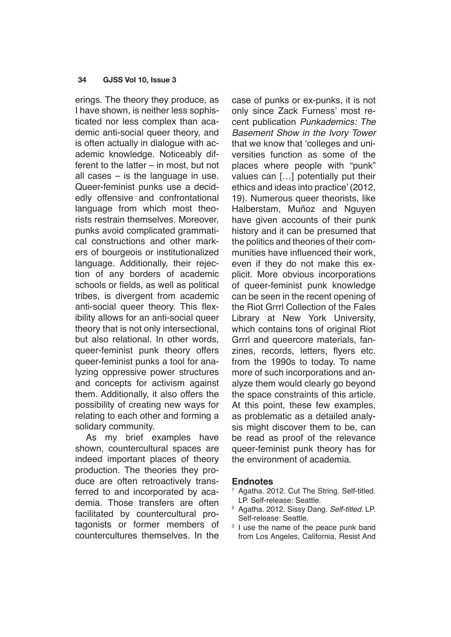erings. The theory they produce, as I have shown, is neither less sophisticated nor less complex than academic anti-social queer theory, and is often actually in dialogue with academic knowledge. Noticeably different to the latter – in most, but not all cases – is the language in use. Queer-feminist punks use a decidedly offensive and confrontational language from which most theorists restrain themselves. Moreover, punks avoid complicated grammatical constructions and other markers of bourgeois or institutionalized language. Additionally, their rejection of any borders of academic schools or fields, as well as political tribes, is divergent from academic anti-social queer theory. This flexibility allows for an anti-social queer theory that is not only intersectional, but also relational. In other words, queer-feminist punk theory offers queer-feminist punks a tool for analyzing oppressive power structures and concepts for activism against them. Additionally, it also offers the possibility of creating new ways for relating to each other and forming a solidary community.

As my brief examples have shown, countercultural spaces are indeed important places of theory production. The theories they produce are often retroactively transferred to and incorporated by academia. Those transfers are often facilitated by countercultural protagonists or former members of countercultures themselves. In the case of punks or ex-punks, it is not only since Zack Furness' most recent publication *Punkademics: The Basement Show in the Ivory Tower* that we know that 'colleges and universities function as some of the places where people with "punk" values can […] potentially put their ethics and ideas into practice' (2012, 19). Numerous queer theorists, like Halberstam, Muñoz and Nguyen have given accounts of their punk history and it can be presumed that the politics and theories of their communities have influenced their work, even if they do not make this explicit. More obvious incorporations of queer-feminist punk knowledge can be seen in the recent opening of the Riot Grrrl Collection of the Fales Library at New York University, which contains tons of original Riot Grrrl and queercore materials, fanzines, records, letters, flyers etc. from the 1990s to today. To name more of such incorporations and analyze them would clearly go beyond the space constraints of this article. At this point, these few examples, as problematic as a detailed analysis might discover them to be, can be read as proof of the relevance queer-feminist punk theory has for the environment of academia.

#### **Endnotes**

- <sup>1</sup> Agatha. 2012. Cut The String. Self-titled. LP. Self-release: Seattle.
- <sup>2</sup> Agatha. 2012. Sissy Dang. *Self-titled*. LP. Self-release: Seattle.
- <sup>3</sup> I use the name of the peace punk band from Los Angeles, California, Resist And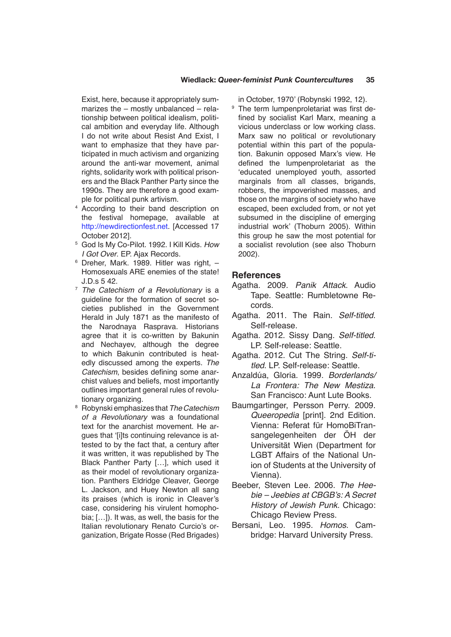Exist, here, because it appropriately summarizes the – mostly unbalanced – relationship between political idealism, political ambition and everyday life. Although I do not write about Resist And Exist, I want to emphasize that they have participated in much activism and organizing around the anti-war movement, animal rights, solidarity work with political prisoners and the Black Panther Party since the 1990s. They are therefore a good example for political punk artivism.

- <sup>4</sup> According to their band description on the festival homepage, available at <http://newdirectionfest.net>. [Accessed 17 October 2012].
- <sup>5</sup> God Is My Co-Pilot. 1992. I Kill Kids. *How I Got Over*. EP. Ajax Records.
- $6$  Dreher, Mark. 1989. Hitler was right.  $-$ Homosexuals ARE enemies of the state! J.D.s 5 42.
- <sup>7</sup> *The Catechism of a Revolutionary* is a guideline for the formation of secret societies published in the Government Herald in July 1871 as the manifesto of the Narodnaya Rasprava. Historians agree that it is co-written by Bakunin and Nechayev, although the degree to which Bakunin contributed is heatedly discussed among the experts. *The Catechism*, besides defining some anarchist values and beliefs, most importantly outlines important general rules of revolutionary organizing.
- <sup>8</sup> Robynski emphasizes that *The Catechism of a Revolutionary* was a foundational text for the anarchist movement. He arques that 'filts continuing relevance is attested to by the fact that, a century after it was written, it was republished by The Black Panther Party […], which used it as their model of revolutionary organization. Panthers Eldridge Cleaver, George L. Jackson, and Huey Newton all sang its praises (which is ironic in Cleaver's case, considering his virulent homophobia; […]). It was, as well, the basis for the Italian revolutionary Renato Curcio's organization, Brigate Rosse (Red Brigades)

in October, 1970' (Robynski 1992, 12).

<sup>9</sup> The term lumpenproletariat was first defined by socialist Karl Marx, meaning a vicious underclass or low working class. Marx saw no political or revolutionary potential within this part of the population. Bakunin opposed Marx's view. He defined the lumpenproletariat as the 'educated unemployed youth, assorted marginals from all classes, brigands, robbers, the impoverished masses, and those on the margins of society who have escaped, been excluded from, or not yet subsumed in the discipline of emerging industrial work' (Thoburn 2005). Within this group he saw the most potential for a socialist revolution (see also Thoburn 2002).

## **References**

- Agatha. 2009. *Panik Attack*. Audio Tape. Seattle: Rumbletowne Records.
- Agatha. 2011. The Rain. *Self-titled*. Self-release.
- Agatha. 2012. Sissy Dang. *Self-titled*. LP. Self-release: Seattle.
- Agatha. 2012. Cut The String. *Self-titled*. LP. Self-release: Seattle.
- Anzaldúa, Gloria. 1999. *Borderlands/ La Frontera: The New Mestiza*. San Francisco: Aunt Lute Books.
- Baumgartinger, Persson Perry. 2009. *Queeropedia* [print]. 2nd Edition. Vienna: Referat für HomoBiTransangelegenheiten der ÖH der Universität Wien (Department for LGBT Affairs of the National Union of Students at the University of Vienna).
- Beeber, Steven Lee. 2006. *The Hee*bie – Jeebies at CBGB's: A Secret *History of Jewish Punk*. Chicago: Chicago Review Press.
- Bersani, Leo. 1995. *Homos*. Cambridge: Harvard University Press.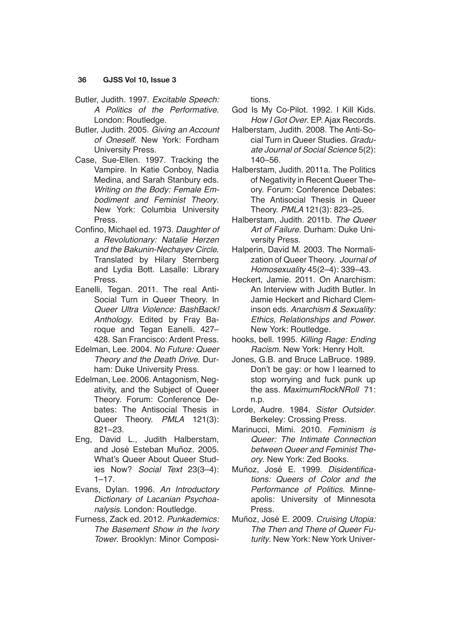- Butler, Judith. 1997. *Excitable Speech: A Politics of the Performative*. London: Routledge.
- Butler, Judith. 2005. *Giving an Account of Oneself*. New York: Fordham University Press.
- Case, Sue-Ellen. 1997. Tracking the Vampire. In Katie Conboy, Nadia Medina, and Sarah Stanbury eds. *Writing on the Body: Female Embodiment and Feminist Theory*. New York: Columbia University Press.
- Confino, Michael ed. 1973. *Daughter of a Revolutionary: Natalie Herzen and the Bakunin-Nechayev Circle*. Translated by Hilary Sternberg and Lydia Bott. Lasalle: Library Press.
- Eanelli, Tegan. 2011. The real Anti-Social Turn in Queer Theory. In *Queer Ultra Violence: BashBack! Anthology*. Edited by Fray Baroque and Tegan Eanelli. 427– 428. San Francisco: Ardent Press.
- Edelman, Lee. 2004. *No Future: Queer Theory and the Death Drive*. Durham: Duke University Press.
- Edelman, Lee. 2006. Antagonism, Negativity, and the Subject of Queer Theory. Forum: Conference Debates: The Antisocial Thesis in Queer Theory. *PMLA* 121(3): 821–23.
- Eng, David L., Judith Halberstam, and José Esteban Muñoz. 2005. What's Queer About Queer Studies Now? *Social Text* 23(3–4):  $1 - 17.$
- Evans, Dylan. 1996. *An Introductory Dictionary of Lacanian Psychoanalysis*. London: Routledge.
- Furness, Zack ed. 2012. *Punkademics: The Basement Show in the Ivory Tower*. Brooklyn: Minor Composi-

tions.

- God Is My Co-Pilot. 1992. I Kill Kids. *How I Got Over*. EP. Ajax Records.
- Halberstam, Judith. 2008. The Anti-Social Turn in Queer Studies. *Graduate Journal of Social Science* 5(2): 140–56.
- Halberstam, Judith. 2011a. The Politics of Negativity in Recent Queer Theory. Forum: Conference Debates: The Antisocial Thesis in Queer Theory. *PMLA* 121(3): 823–25.
- Halberstam, Judith. 2011b. *The Queer Art of Failure*. Durham: Duke University Press.
- Halperin, David M. 2003. The Normalization of Queer Theory. *Journal of Homosexuality* 45(2–4): 339–43.
- Heckert, Jamie. 2011. On Anarchism: An Interview with Judith Butler. In Jamie Heckert and Richard Cleminson eds. *Anarchism & Sexuality: Ethics, Relationships and Power*. New York: Routledge.
- hooks, bell. 1995. *Killing Rage: Ending Racism*. New York: Henry Holt.
- Jones, G.B. and Bruce LaBruce. 1989. Don't be gay: or how I learned to stop worrying and fuck punk up the ass. *MaximumRockNRoll* 71: n.p.
- Lorde, Audre. 1984. *Sister Outsider*. Berkeley: Crossing Press.
- Marinucci, Mimi. 2010. *Feminism is Queer: The Intimate Connection between Queer and Feminist Theory*. New York: Zed Books.
- Muñoz, José E. 1999. Disidentifica*tions: Queers of Color and the Performance of Politics*. Minneapolis: University of Minnesota Press.
- Muñoz, José E. 2009. *Cruising Utopia: The Then and There of Queer Futurity*. New York: New York Univer-